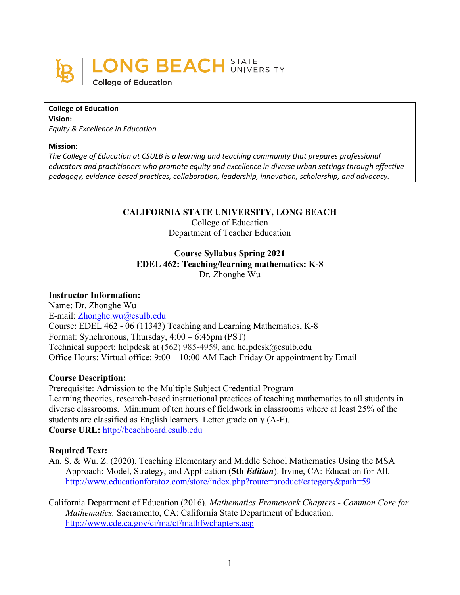

**College of Education Vision:** *Equity & Excellence in Education*

#### **Mission:**

*The College of Education at CSULB is a learning and teaching community that prepares professional educators and practitioners who promote equity and excellence in diverse urban settings through effective pedagogy, evidence-based practices, collaboration, leadership, innovation, scholarship, and advocacy.*

#### **CALIFORNIA STATE UNIVERSITY, LONG BEACH**

#### College of Education Department of Teacher Education

### **Course Syllabus Spring 2021 EDEL 462: Teaching/learning mathematics: K-8** Dr. Zhonghe Wu

#### **Instructor Information:**

Name: Dr. Zhonghe Wu E-mail: [Zhonghe.wu@csulb.edu](mailto:Zhonghe.wu@csulb.edu) Course: EDEL 462 - 06 [\(11343\) T](javascript:submitAction_win0(document.win0,)eaching and Learning Mathematics, K-8 Format: Synchronous, Thursday, 4:00 – 6:45pm (PST) Technical support: helpdesk at (562) 985-4959, and [helpdesk@csulb.edu](mailto:helpdesk@csulb.edu) Office Hours: Virtual office: 9:00 – 10:00 AM Each Friday Or appointment by Email

#### **Course Description:**

Prerequisite: Admission to the Multiple Subject Credential Program Learning theories, research-based instructional practices of teaching mathematics to all students in diverse classrooms. Minimum of ten hours of fieldwork in classrooms where at least 25% of the students are classified as English learners. Letter grade only (A-F). **Course URL:** [http://beachboard.csulb.edu](http://beachboard.csulb.edu/)

#### **Required Text:**

- An. S. & Wu. Z. (2020). Teaching Elementary and Middle School Mathematics Using the MSA Approach: Model, Strategy, and Application (**5th** *Edition*). Irvine, CA: Education for All. <http://www.educationforatoz.com/store/index.php?route=product/category&path=59>
- California Department of Education (2016). *[Mathematics Framework](http://www.cde.ca.gov/ci/ma/cf/draft2mathfwchapters.asp) Chapters - Common Core for Mathematics.* Sacramento, CA: California State Department of Education. <http://www.cde.ca.gov/ci/ma/cf/mathfwchapters.asp>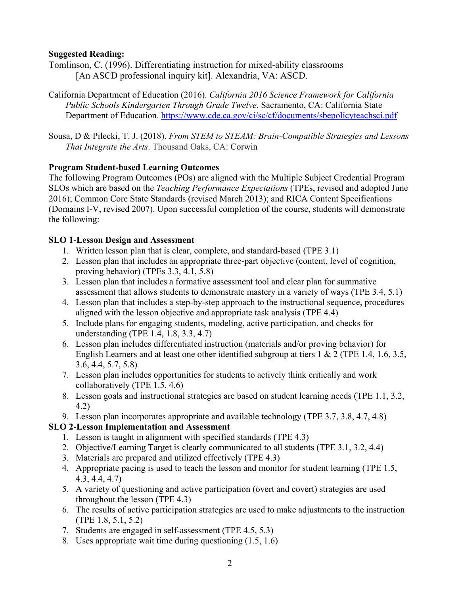### **Suggested Reading:**

Tomlinson, C. (1996). Differentiating instruction for mixed-ability classrooms [An ASCD professional inquiry kit]. Alexandria, VA: ASCD.

- California Department of Education (2016). *California 2016 Science Framework for California Public Schools Kindergarten Through Grade Twelve*. Sacramento, CA: California State Department of Education.<https://www.cde.ca.gov/ci/sc/cf/documents/sbepolicyteachsci.pdf>
- Sousa, D & Pilecki, T. J. (2018). *From STEM to STEAM: Brain-Compatible Strategies and Lessons That Integrate the Arts*. Thousand Oaks, CA: Corwin

### **Program Student-based Learning Outcomes**

The following Program Outcomes (POs) are aligned with the Multiple Subject Credential Program SLOs which are based on the *Teaching Performance Expectations* (TPEs, revised and adopted June 2016); Common Core State Standards (revised March 2013); and RICA Content Specifications (Domains I-V, revised 2007). Upon successful completion of the course, students will demonstrate the following:

### **SLO 1**-**Lesson Design and Assessment**

- 1. Written lesson plan that is clear, complete, and standard-based (TPE 3.1)
- 2. Lesson plan that includes an appropriate three-part objective (content, level of cognition, proving behavior) (TPEs 3.3, 4.1, 5.8)
- 3. Lesson plan that includes a formative assessment tool and clear plan for summative assessment that allows students to demonstrate mastery in a variety of ways (TPE 3.4, 5.1)
- 4. Lesson plan that includes a step-by-step approach to the instructional sequence, procedures aligned with the lesson objective and appropriate task analysis (TPE 4.4)
- 5. Include plans for engaging students, modeling, active participation, and checks for understanding (TPE 1.4, 1.8, 3.3, 4.7)
- 6. Lesson plan includes differentiated instruction (materials and/or proving behavior) for English Learners and at least one other identified subgroup at tiers 1 & 2 (TPE 1.4, 1.6, 3.5, 3.6, 4.4, 5.7, 5.8)
- 7. Lesson plan includes opportunities for students to actively think critically and work collaboratively (TPE 1.5, 4.6)
- 8. Lesson goals and instructional strategies are based on student learning needs (TPE 1.1, 3.2, 4.2)
- 9. Lesson plan incorporates appropriate and available technology (TPE 3.7, 3.8, 4.7, 4.8)

## **SLO 2**-**Lesson Implementation and Assessment**

- 1. Lesson is taught in alignment with specified standards (TPE 4.3)
- 2. Objective/Learning Target is clearly communicated to all students (TPE 3.1, 3.2, 4.4)
- 3. Materials are prepared and utilized effectively (TPE 4.3)
- 4. Appropriate pacing is used to teach the lesson and monitor for student learning (TPE 1.5, 4.3, 4.4, 4.7)
- 5. A variety of questioning and active participation (overt and covert) strategies are used throughout the lesson (TPE 4.3)
- 6. The results of active participation strategies are used to make adjustments to the instruction (TPE 1.8, 5.1, 5.2)
- 7. Students are engaged in self-assessment (TPE 4.5, 5.3)
- 8. Uses appropriate wait time during questioning (1.5, 1.6)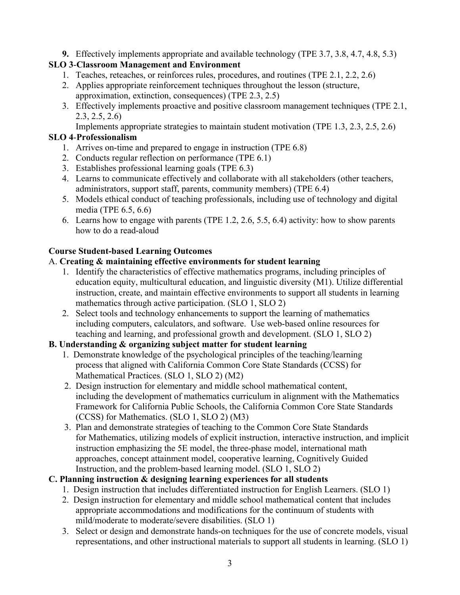**9.** Effectively implements appropriate and available technology (TPE 3.7, 3.8, 4.7, 4.8, 5.3)

## **SLO 3**-**Classroom Management and Environment**

- 1. Teaches, reteaches, or reinforces rules, procedures, and routines (TPE 2.1, 2.2, 2.6)
- 2. Applies appropriate reinforcement techniques throughout the lesson (structure, approximation, extinction, consequences) (TPE 2.3, 2.5)
- 3. Effectively implements proactive and positive classroom management techniques (TPE 2.1, 2.3, 2.5, 2.6)

Implements appropriate strategies to maintain student motivation (TPE 1.3, 2.3, 2.5, 2.6)

## **SLO 4**-**Professionalism**

- 1. Arrives on-time and prepared to engage in instruction (TPE 6.8)
- 2. Conducts regular reflection on performance (TPE 6.1)
- 3. Establishes professional learning goals (TPE 6.3)
- 4. Learns to communicate effectively and collaborate with all stakeholders (other teachers, administrators, support staff, parents, community members) (TPE 6.4)
- 5. Models ethical conduct of teaching professionals, including use of technology and digital media (TPE 6.5, 6.6)
- 6. Learns how to engage with parents (TPE 1.2, 2.6, 5.5, 6.4) activity: how to show parents how to do a read-aloud

# **Course Student-based Learning Outcomes**

## A. **Creating & maintaining effective environments for student learning**

- 1. Identify the characteristics of effective mathematics programs, including principles of education equity, multicultural education, and linguistic diversity (M1). Utilize differential instruction, create, and maintain effective environments to support all students in learning mathematics through active participation. (SLO 1, SLO 2)
- 2. Select tools and technology enhancements to support the learning of mathematics including computers, calculators, and software. Use web-based online resources for teaching and learning, and professional growth and development. (SLO 1, SLO 2)

# **B. Understanding & organizing subject matter for student learning**

- 1. Demonstrate knowledge of the psychological principles of the teaching/learning process that aligned with California Common Core State Standards (CCSS) for Mathematical Practices. (SLO 1, SLO 2) (M2)
- 2. Design instruction for elementary and middle school mathematical content, including the development of mathematics curriculum in alignment with the Mathematics Framework for California Public Schools, the California Common Core State Standards (CCSS) for Mathematics. (SLO 1, SLO 2) (M3)
- 3. Plan and demonstrate strategies of teaching to the Common Core State Standards for Mathematics, utilizing models of explicit instruction, interactive instruction, and implicit instruction emphasizing the 5E model, the three-phase model, international math approaches, concept attainment model, cooperative learning, Cognitively Guided Instruction, and the problem-based learning model. (SLO 1, SLO 2)

# **C. Planning instruction & designing learning experiences for all students**

- 1. Design instruction that includes differentiated instruction for English Learners. (SLO 1)
- 2. Design instruction for elementary and middle school mathematical content that includes appropriate accommodations and modifications for the continuum of students with mild/moderate to moderate/severe disabilities. (SLO 1)
- 3. Select or design and demonstrate hands-on techniques for the use of concrete models, visual representations, and other instructional materials to support all students in learning. (SLO 1)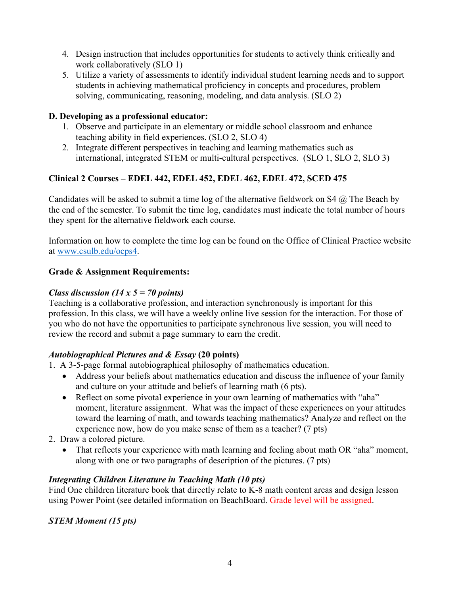- 4. Design instruction that includes opportunities for students to actively think critically and work collaboratively (SLO 1)
- 5. Utilize a variety of assessments to identify individual student learning needs and to support students in achieving mathematical proficiency in concepts and procedures, problem solving, communicating, reasoning, modeling, and data analysis. (SLO 2)

### **D. Developing as a professional educator:**

- 1. Observe and participate in an elementary or middle school classroom and enhance teaching ability in field experiences. (SLO 2, SLO 4)
- 2. Integrate different perspectives in teaching and learning mathematics such as international, integrated STEM or multi-cultural perspectives. (SLO 1, SLO 2, SLO 3)

## **Clinical 2 Courses – EDEL 442, EDEL 452, EDEL 462, EDEL 472, SCED 475**

Candidates will be asked to submit a time log of the alternative fieldwork on S4  $\omega$ . The Beach by the end of the semester. To submit the time log, candidates must indicate the total number of hours they spent for the alternative fieldwork each course.

Information on how to complete the time log can be found on the Office of Clinical Practice website at [www.csulb.edu/ocps4.](http://www.csulb.edu/ocps4)

## **Grade & Assignment Requirements:**

## *Class discussion (14 x 5 = 70 points)*

Teaching is a collaborative profession, and interaction synchronously is important for this profession. In this class, we will have a weekly online live session for the interaction. For those of you who do not have the opportunities to participate synchronous live session, you will need to review the record and submit a page summary to earn the credit.

## *Autobiographical Pictures and & Essay* **(20 points)**

- 1. A 3-5-page formal autobiographical philosophy of mathematics education.
	- Address your beliefs about mathematics education and discuss the influence of your family and culture on your attitude and beliefs of learning math (6 pts).
	- Reflect on some pivotal experience in your own learning of mathematics with "aha" moment, literature assignment. What was the impact of these experiences on your attitudes toward the learning of math, and towards teaching mathematics? Analyze and reflect on the experience now, how do you make sense of them as a teacher? (7 pts)
- 2. Draw a colored picture.
	- That reflects your experience with math learning and feeling about math OR "aha" moment, along with one or two paragraphs of description of the pictures. (7 pts)

## *Integrating Children Literature in Teaching Math (10 pts)*

Find One children literature book that directly relate to K-8 math content areas and design lesson using Power Point (see detailed information on BeachBoard. Grade level will be assigned.

## *STEM Moment (15 pts)*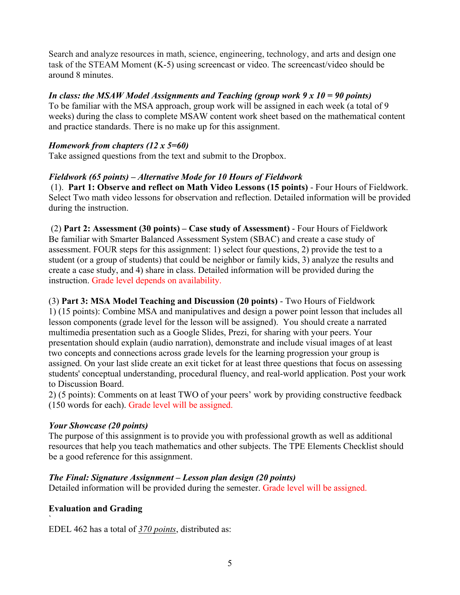Search and analyze resources in math, science, engineering, technology, and arts and design one task of the STEAM Moment (K-5) using screencast or video. The screencast/video should be around 8 minutes.

### *In class: the MSAW Model Assignments and Teaching (group work 9 x 10 = 90 points)*

To be familiar with the MSA approach, group work will be assigned in each week (a total of 9 weeks) during the class to complete MSAW content work sheet based on the mathematical content and practice standards. There is no make up for this assignment.

### *Homework from chapters (12 x 5=60)*

Take assigned questions from the text and submit to the Dropbox.

### *Fieldwork (65 points) – Alternative Mode for 10 Hours of Fieldwork*

(1). **Part 1: Observe and reflect on Math Video Lessons (15 points)** - Four Hours of Fieldwork. Select Two math video lessons for observation and reflection. Detailed information will be provided during the instruction.

(2) **Part 2: Assessment (30 points) – Case study of Assessment)** - Four Hours of Fieldwork Be familiar with Smarter Balanced Assessment System (SBAC) and create a case study of assessment. FOUR steps for this assignment: 1) select four questions, 2) provide the test to a student (or a group of students) that could be neighbor or family kids, 3) analyze the results and create a case study, and 4) share in class. Detailed information will be provided during the instruction. Grade level depends on availability.

(3) **Part 3: MSA Model Teaching and Discussion (20 points)** - Two Hours of Fieldwork 1) (15 points): Combine MSA and manipulatives and design a power point lesson that includes all lesson components (grade level for the lesson will be assigned). You should create a narrated multimedia presentation such as a Google Slides, Prezi, for sharing with your peers. Your presentation should explain (audio narration), demonstrate and include visual images of at least two concepts and connections across grade levels for the learning progression your group is assigned. On your last slide create an exit ticket for at least three questions that focus on assessing students' conceptual understanding, procedural fluency, and real-world application. Post your work to Discussion Board.

2) (5 points): Comments on at least TWO of your peers' work by providing constructive feedback (150 words for each). Grade level will be assigned.

### *Your Showcase (20 points)*

The purpose of this assignment is to provide you with professional growth as well as additional resources that help you teach mathematics and other subjects. The TPE Elements Checklist should be a good reference for this assignment.

## *The Final: Signature Assignment – Lesson plan design (20 points)*

Detailed information will be provided during the semester. Grade level will be assigned.

## **Evaluation and Grading**

` EDEL 462 has a total of *370 points*, distributed as: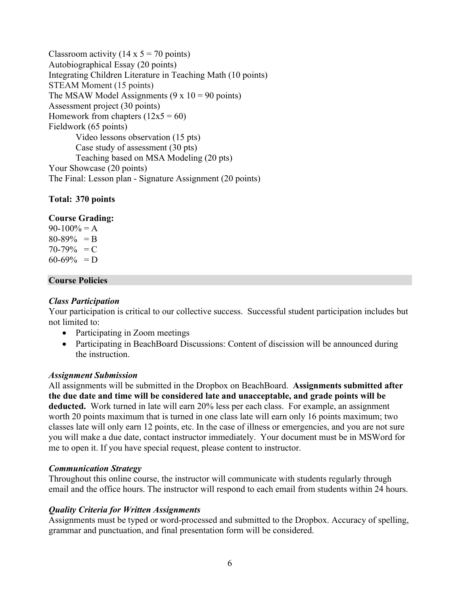Classroom activity (14 x  $5 = 70$  points) Autobiographical Essay (20 points) Integrating Children Literature in Teaching Math (10 points) STEAM Moment (15 points) The MSAW Model Assignments  $(9 \times 10 = 90 \text{ points})$ Assessment project (30 points) Homework from chapters  $(12x5 = 60)$ Fieldwork (65 points) Video lessons observation (15 pts) Case study of assessment (30 pts) Teaching based on MSA Modeling (20 pts) Your Showcase (20 points) The Final: Lesson plan - Signature Assignment (20 points)

### **Total: 370 points**

#### **Course Grading:**

 $90-100% = A$  $80-89\% = B$  $70-79\% = C$  $60-69\% = D$ 

#### **Course Policies**

#### *Class Participation*

Your participation is critical to our collective success. Successful student participation includes but not limited to:

- Participating in Zoom meetings
- Participating in BeachBoard Discussions: Content of discission will be announced during the instruction.

#### *Assignment Submission*

All assignments will be submitted in the Dropbox on BeachBoard. **Assignments submitted after the due date and time will be considered late and unacceptable, and grade points will be deducted.** Work turned in late will earn 20% less per each class. For example, an assignment worth 20 points maximum that is turned in one class late will earn only 16 points maximum; two classes late will only earn 12 points, etc. In the case of illness or emergencies, and you are not sure you will make a due date, contact instructor immediately. Your document must be in MSWord for me to open it. If you have special request, please content to instructor.

#### *Communication Strategy*

Throughout this online course, the instructor will communicate with students regularly through email and the office hours. The instructor will respond to each email from students within 24 hours.

#### *Quality Criteria for Written Assignments*

Assignments must be typed or word-processed and submitted to the Dropbox. Accuracy of spelling, grammar and punctuation, and final presentation form will be considered.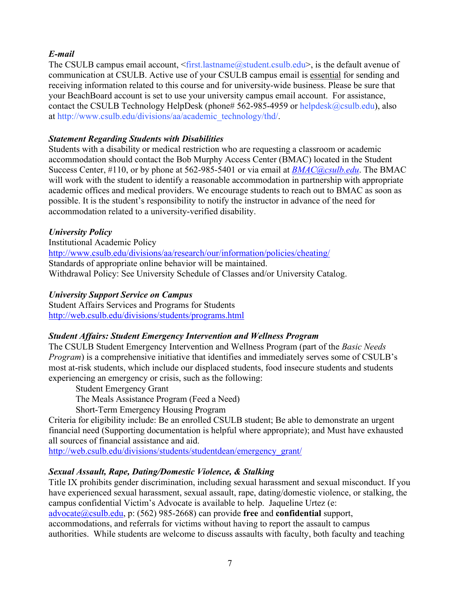## *E-mail*

The CSULB campus email account,  $\langle$  first.lastname@student.csulb.edu>, is the default avenue of communication at CSULB. Active use of your CSULB campus email is essential for sending and receiving information related to this course and for university-wide business. Please be sure that your BeachBoard account is set to use your university campus email account. For assistance, contact the CSULB Technology HelpDesk (phone# 562-985-4959 or [helpdesk@csulb.edu\)](mailto:helpdesk@csulb.edu), also at [http://www.csulb.edu/divisions/aa/academic\\_technology/thd/.](http://www.csulb.edu/divisions/aa/academic_technology/thd/)

### *Statement Regarding Students with Disabilities*

Students with a disability or medical restriction who are requesting a classroom or academic accommodation should contact the Bob Murphy Access Center (BMAC) located in the Student Success Center, #110, or by phone at 562-985-5401 or via email at *[BMAC@csulb.edu](mailto:BMAC@csulb.edu)*. The BMAC will work with the student to identify a reasonable accommodation in partnership with appropriate academic offices and medical providers. We encourage students to reach out to BMAC as soon as possible. It is the student's responsibility to notify the instructor in advance of the need for accommodation related to a university-verified disability.

## *University Policy*

Institutional Academic Policy <http://www.csulb.edu/divisions/aa/research/our/information/policies/cheating/> Standards of appropriate online behavior will be maintained. Withdrawal Policy: See University Schedule of Classes and/or University Catalog.

## *University Support Service on Campus*

Student Affairs Services and Programs for Students <http://web.csulb.edu/divisions/students/programs.html>

### *Student Affairs: Student Emergency Intervention and Wellness Program*

The CSULB Student Emergency Intervention and Wellness Program (part of the *Basic Needs Program*) is a comprehensive initiative that identifies and immediately serves some of CSULB's most at-risk students, which include our displaced students, food insecure students and students experiencing an emergency or crisis, such as the following:

Student Emergency Grant The Meals Assistance Program (Feed a Need)

Short-Term Emergency Housing Program

Criteria for eligibility include: Be an enrolled CSULB student; Be able to demonstrate an urgent financial need (Supporting documentation is helpful where appropriate); and Must have exhausted all sources of financial assistance and aid.

[http://web.csulb.edu/divisions/students/studentdean/emergency\\_grant/](http://web.csulb.edu/divisions/students/studentdean/emergency_grant/)

## *Sexual Assault, Rape, Dating/Domestic Violence, & Stalking*

Title IX prohibits gender discrimination, including sexual harassment and sexual misconduct. If you have experienced sexual harassment, sexual assault, rape, dating/domestic violence, or stalking, the campus confidential Victim's Advocate is available to help. Jaqueline Urtez (e:

[advocate@csulb.edu,](mailto:advocate@csulb.edu) p: (562) 985-2668) can provide **free** and **confidential** support,

accommodations, and referrals for victims without having to report the assault to campus authorities. While students are welcome to discuss assaults with faculty, both faculty and teaching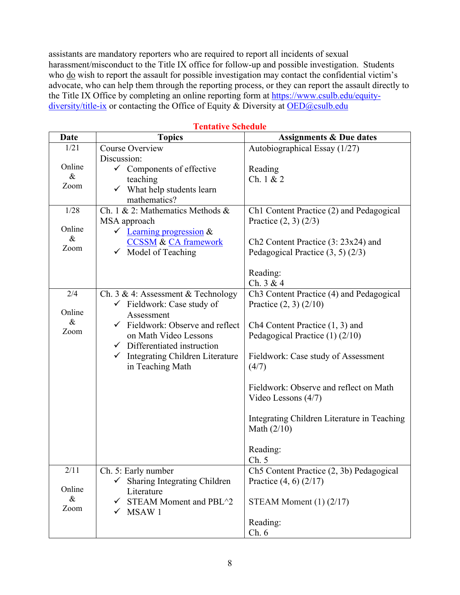assistants are mandatory reporters who are required to report all incidents of sexual harassment/misconduct to the Title IX office for follow-up and possible investigation. Students who do wish to report the assault for possible investigation may contact the confidential victim's advocate, who can help them through the reporting process, or they can report the assault directly to the Title IX Office by completing an online reporting form at [https://www.csulb.edu/equity](https://www.csulb.edu/equity-diversity/title-ix)[diversity/title-ix](https://www.csulb.edu/equity-diversity/title-ix) or contacting the Office of Equity & Diversity at [OED@csulb.edu](mailto:OED@csulb.edu)

| <b>Date</b>  | <b>Topics</b>                                | <b>Assignments &amp; Due dates</b>                   |
|--------------|----------------------------------------------|------------------------------------------------------|
| 1/21         | Course Overview                              | Autobiographical Essay (1/27)                        |
|              | Discussion:                                  |                                                      |
| Online       | $\checkmark$ Components of effective         | Reading                                              |
| $\&$         | teaching                                     | Ch. $1 & 2$                                          |
| Zoom         | $\checkmark$ What help students learn        |                                                      |
|              | mathematics?                                 |                                                      |
| 1/28         | Ch. 1 & 2: Mathematics Methods &             | Ch1 Content Practice (2) and Pedagogical             |
|              | MSA approach                                 | Practice $(2, 3)$ $(2/3)$                            |
| Online       | $\checkmark$ Learning progression &          |                                                      |
| $\&$<br>Zoom | <b>CCSSM &amp; CA framework</b>              | Ch <sub>2</sub> Content Practice $(3:23x24)$ and     |
|              | $\checkmark$ Model of Teaching               | Pedagogical Practice $(3, 5)$ $(2/3)$                |
|              |                                              |                                                      |
|              |                                              | Reading:                                             |
|              |                                              | Ch. $3 & 4$                                          |
| 2/4          | Ch. 3 & 4: Assessment & Technology           | Ch <sub>3</sub> Content Practice (4) and Pedagogical |
| Online       | $\checkmark$ Fieldwork: Case study of        | Practice $(2, 3)$ $(2/10)$                           |
| $\&$         | Assessment                                   |                                                      |
| Zoom         | $\checkmark$ Fieldwork: Observe and reflect  | Ch4 Content Practice $(1, 3)$ and                    |
|              | on Math Video Lessons                        | Pedagogical Practice (1) (2/10)                      |
|              | $\checkmark$ Differentiated instruction      |                                                      |
|              | $\checkmark$ Integrating Children Literature | Fieldwork: Case study of Assessment                  |
|              | in Teaching Math                             | (4/7)                                                |
|              |                                              | Fieldwork: Observe and reflect on Math               |
|              |                                              | Video Lessons (4/7)                                  |
|              |                                              |                                                      |
|              |                                              | Integrating Children Literature in Teaching          |
|              |                                              | Math $(2/10)$                                        |
|              |                                              |                                                      |
|              |                                              | Reading:                                             |
|              |                                              | Ch. 5                                                |
| 2/11         | Ch. 5: Early number                          | Ch5 Content Practice (2, 3b) Pedagogical             |
|              | Sharing Integrating Children<br>✓            | Practice $(4, 6)$ $(2/17)$                           |
| Online       | Literature                                   |                                                      |
| $\&$         | STEAM Moment and PBL^2<br>✓                  | STEAM Moment $(1)$ $(2/17)$                          |
| Zoom         | MSAW 1<br>✓                                  |                                                      |
|              |                                              | Reading:                                             |
|              |                                              | Ch.6                                                 |

**Tentative Schedule**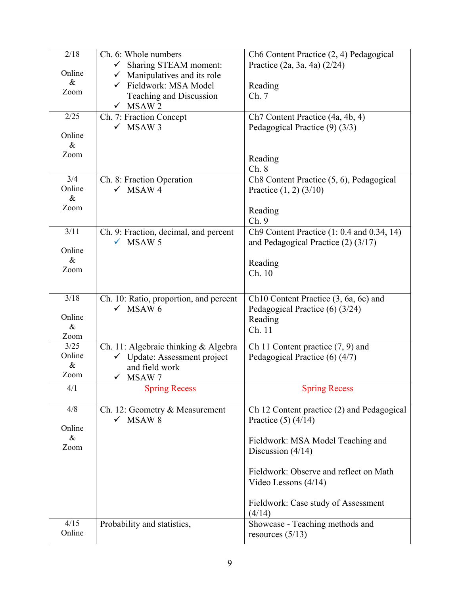| 2/18           | Ch. 6: Whole numbers                           | Ch6 Content Practice (2, 4) Pedagogical               |
|----------------|------------------------------------------------|-------------------------------------------------------|
| Online         | Sharing STEAM moment:<br>$\checkmark$          | Practice (2a, 3a, 4a) (2/24)                          |
| $\&$           | Manipulatives and its role<br>$\checkmark$     |                                                       |
| Zoom           | ← Fieldwork: MSA Model                         | Reading                                               |
|                | Teaching and Discussion                        | Ch. 7                                                 |
| 2/25           | $\checkmark$ MSAW 2<br>Ch. 7: Fraction Concept | Ch7 Content Practice (4a, 4b, 4)                      |
|                | $\checkmark$ MSAW 3                            | Pedagogical Practice (9) (3/3)                        |
| Online         |                                                |                                                       |
| $\&$           |                                                |                                                       |
| Zoom           |                                                | Reading                                               |
|                |                                                | Ch. 8                                                 |
| 3/4            | Ch. 8: Fraction Operation                      | Ch8 Content Practice (5, 6), Pedagogical              |
| Online         | $\checkmark$ MSAW 4                            | Practice $(1, 2)$ $(3/10)$                            |
| $\&$           |                                                |                                                       |
| Zoom           |                                                | Reading                                               |
|                |                                                | Ch.9                                                  |
| 3/11           | Ch. 9: Fraction, decimal, and percent          | Ch9 Content Practice (1: 0.4 and 0.34, 14)            |
| Online         | $\checkmark$ MSAW 5                            | and Pedagogical Practice $(2)$ (3/17)                 |
| &              |                                                |                                                       |
| Zoom           |                                                | Reading<br>Ch. 10                                     |
|                |                                                |                                                       |
|                |                                                |                                                       |
| 3/18           | Ch. 10: Ratio, proportion, and percent         | Ch10 Content Practice (3, 6a, 6c) and                 |
| Online         | $\checkmark$ MSAW 6                            | Pedagogical Practice (6) (3/24)                       |
| $\&$           |                                                | Reading                                               |
| Zoom           |                                                | Ch. 11                                                |
| 3/25           | Ch. 11: Algebraic thinking & Algebra           | Ch 11 Content practice $(7, 9)$ and                   |
| Online         | $\checkmark$ Update: Assessment project        | Pedagogical Practice (6) (4/7)                        |
| $\&$           | and field work                                 |                                                       |
| Zoom           | MSAW 7<br>$\checkmark$                         |                                                       |
| 4/1            | <b>Spring Recess</b>                           | <b>Spring Recess</b>                                  |
| 4/8            | Ch. 12: Geometry & Measurement                 | Ch 12 Content practice (2) and Pedagogical            |
|                | $\checkmark$ MSAW 8                            | Practice $(5)$ $(4/14)$                               |
| Online         |                                                |                                                       |
| $\&$           |                                                | Fieldwork: MSA Model Teaching and                     |
| Zoom           |                                                | Discussion $(4/14)$                                   |
|                |                                                |                                                       |
|                |                                                | Fieldwork: Observe and reflect on Math                |
|                |                                                | Video Lessons $(4/14)$                                |
|                |                                                |                                                       |
|                |                                                |                                                       |
|                |                                                | Fieldwork: Case study of Assessment                   |
|                |                                                | (4/14)                                                |
| 4/15<br>Online | Probability and statistics,                    | Showcase - Teaching methods and<br>resources $(5/13)$ |